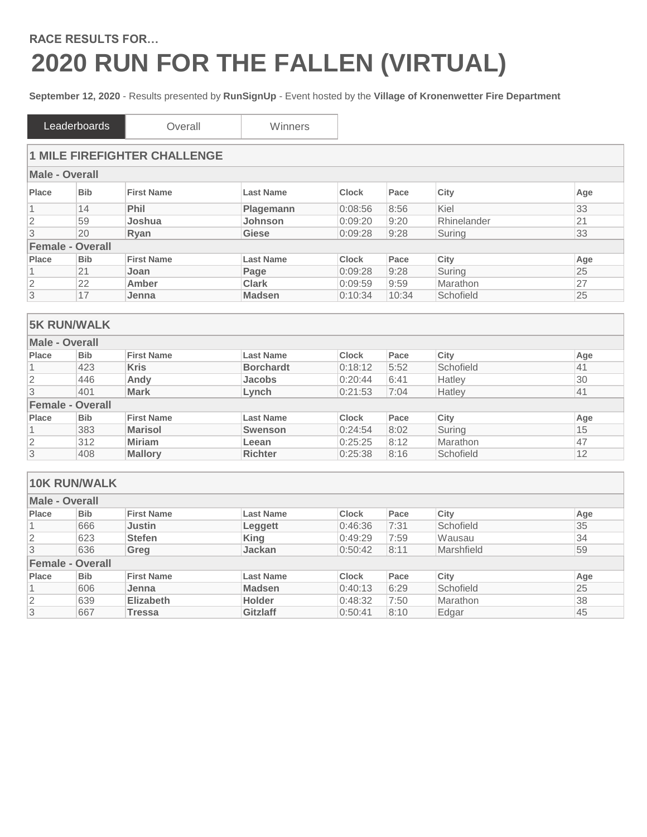## **RACE RESULTS FOR… 2020 RUN FOR THE FALLEN (VIRTUAL)**

**September 12, 2020** - Results presented by **RunSignUp** - Event hosted by the **Village of Kronenwetter Fire Department**

|                | Leaderboards            | Overall                             | Winners          |              |       |             |     |
|----------------|-------------------------|-------------------------------------|------------------|--------------|-------|-------------|-----|
|                |                         | <b>1 MILE FIREFIGHTER CHALLENGE</b> |                  |              |       |             |     |
| Male - Overall |                         |                                     |                  |              |       |             |     |
| Place          | <b>Bib</b>              | <b>First Name</b>                   | <b>Last Name</b> | <b>Clock</b> | Pace  | City        | Age |
| 1              | 14                      | <b>Phil</b>                         | <b>Plagemann</b> | 0:08:56      | 8:56  | Kiel        | 33  |
| $\overline{2}$ | 59                      | Joshua                              | <b>Johnson</b>   | 0:09:20      | 9:20  | Rhinelander | 21  |
| 3              | 20                      | Ryan                                | Giese            | 0:09:28      | 9:28  | Suring      | 33  |
|                | <b>Female - Overall</b> |                                     |                  |              |       |             |     |
| Place          | <b>Bib</b>              | <b>First Name</b>                   | <b>Last Name</b> | <b>Clock</b> | Pace  | City        | Age |
|                | 21                      | Joan                                | Page             | 0:09:28      | 9:28  | Suring      | 25  |
| $\overline{2}$ | 22                      | Amber                               | <b>Clark</b>     | 0:09:59      | 9:59  | Marathon    | 27  |
| $\overline{3}$ | 17                      | Jenna                               | <b>Madsen</b>    | 0:10:34      | 10:34 | Schofield   | 25  |

|                       | <b>5K RUN/WALK</b>      |                   |                  |              |      |           |     |
|-----------------------|-------------------------|-------------------|------------------|--------------|------|-----------|-----|
| <b>Male - Overall</b> |                         |                   |                  |              |      |           |     |
| Place                 | <b>Bib</b>              | <b>First Name</b> | <b>Last Name</b> | <b>Clock</b> | Pace | City      | Age |
|                       | 423                     | <b>Kris</b>       | <b>Borchardt</b> | 0:18:12      | 5:52 | Schofield | 41  |
| 2                     | 446                     | Andy              | <b>Jacobs</b>    | 0:20:44      | 6:41 | Hatley    | 30  |
| 3                     | 401                     | <b>Mark</b>       | Lynch            | 0:21:53      | 7:04 | Hatley    | 41  |
|                       | <b>Female - Overall</b> |                   |                  |              |      |           |     |
| Place                 | <b>Bib</b>              | <b>First Name</b> | <b>Last Name</b> | <b>Clock</b> | Pace | City      | Age |
|                       | 383                     | <b>Marisol</b>    | <b>Swenson</b>   | 0:24:54      | 8:02 | Suring    | 15  |
| 2                     | 312                     | <b>Miriam</b>     | Leean            | 0:25:25      | 8:12 | Marathon  | 47  |
| 3                     | 408                     | <b>Mallory</b>    | <b>Richter</b>   | 0:25:38      | 8:16 | Schofield | 12  |

|                | <b>10K RUN/WALK</b>     |                   |                  |              |      |            |     |
|----------------|-------------------------|-------------------|------------------|--------------|------|------------|-----|
| Male - Overall |                         |                   |                  |              |      |            |     |
| Place          | <b>Bib</b>              | <b>First Name</b> | <b>Last Name</b> | <b>Clock</b> | Pace | City       | Age |
|                | 666                     | Justin            | Leggett          | 0:46:36      | 7:31 | Schofield  | 35  |
| $\overline{2}$ | 623                     | <b>Stefen</b>     | King             | 0:49:29      | 7:59 | Wausau     | 34  |
| 3              | 636                     | Greg              | <b>Jackan</b>    | 0:50:42      | 8:11 | Marshfield | 59  |
|                | <b>Female - Overall</b> |                   |                  |              |      |            |     |
| Place          | <b>Bib</b>              | <b>First Name</b> | <b>Last Name</b> | <b>Clock</b> | Pace | City       | Age |
|                | 606                     | Jenna             | <b>Madsen</b>    | 0:40:13      | 6:29 | Schofield  | 25  |
| $\overline{2}$ | 639                     | <b>Elizabeth</b>  | <b>Holder</b>    | 0:48:32      | 7:50 | Marathon   | 38  |
| 3              | 667                     | <b>Tressa</b>     | <b>Gitzlaff</b>  | 0:50:41      | 8:10 | Edgar      | 45  |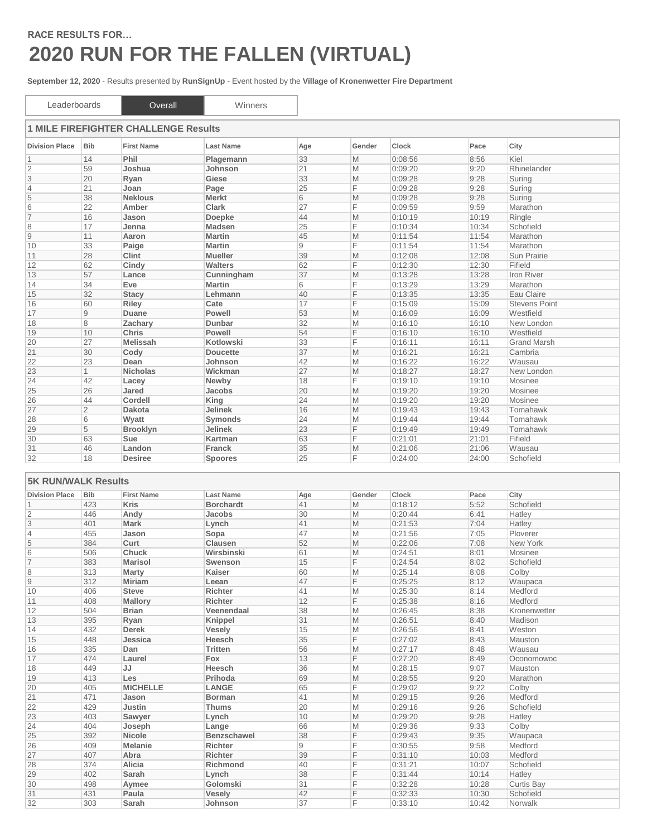## **RACE RESULTS FOR… 2020 RUN FOR THE FALLEN (VIRTUAL)**

**September 12, 2020** - Results presented by **RunSignUp** - Event hosted by the **Village of Kronenwetter Fire Department**

| Leaderboards               |                | Overall                                     | Winners          |     |        |         |       |                      |
|----------------------------|----------------|---------------------------------------------|------------------|-----|--------|---------|-------|----------------------|
|                            |                | <b>1 MILE FIREFIGHTER CHALLENGE Results</b> |                  |     |        |         |       |                      |
| <b>Division Place</b>      | <b>Bib</b>     | <b>First Name</b>                           | <b>Last Name</b> | Age | Gender | Clock   | Pace  | City                 |
| $\mathbf 1$                | 14             | Phil                                        | Plagemann        | 33  | M      | 0:08:56 | 8:56  | Kiel                 |
| $\overline{2}$             | 59             | Joshua                                      | Johnson          | 21  | M      | 0:09:20 | 9:20  | Rhinelander          |
| 3                          | 20             | Ryan                                        | Giese            | 33  | M      | 0:09:28 | 9:28  | Suring               |
| $\overline{4}$             | 21             | Joan                                        | Page             | 25  | F      | 0:09:28 | 9:28  | Suring               |
| 5                          | 38             | <b>Neklous</b>                              | <b>Merkt</b>     | 6   | M      | 0:09:28 | 9:28  | Suring               |
| 6                          | 22             | Amber                                       | <b>Clark</b>     | 27  | F      | 0:09:59 | 9:59  | Marathon             |
| $\overline{7}$             | 16             | Jason                                       | Doepke           | 44  | M      | 0:10:19 | 10:19 | Ringle               |
| 8                          | 17             | Jenna                                       | <b>Madsen</b>    | 25  | F      | 0:10:34 | 10:34 | Schofield            |
| 9                          | 11             | Aaron                                       | <b>Martin</b>    | 45  | M      | 0:11:54 | 11:54 | Marathon             |
| 10                         | 33             | Paige                                       | <b>Martin</b>    | 9   | F      | 0:11:54 | 11:54 | Marathon             |
| 11                         | 28             | <b>Clint</b>                                | <b>Mueller</b>   | 39  | M      | 0:12:08 | 12:08 | Sun Prairie          |
| 12                         | 62             | Cindy                                       | <b>Walters</b>   | 62  | F      | 0:12:30 | 12:30 | Fifield              |
| 13                         | 57             | Lance                                       | Cunningham       | 37  | M      | 0:13:28 | 13:28 | Iron River           |
| 14                         | 34             | Eve                                         | <b>Martin</b>    | 6   | F      | 0:13:29 | 13:29 | Marathon             |
| 15                         | 32             | <b>Stacy</b>                                | Lehmann          | 40  | F      | 0:13:35 | 13:35 | Eau Claire           |
| 16                         | 60             | Riley                                       | Cate             | 17  | F      | 0:15:09 | 15:09 | <b>Stevens Point</b> |
| 17                         | $\overline{9}$ | Duane                                       | Powell           | 53  | M      | 0:16:09 | 16:09 | Westfield            |
| 18                         | 8              | Zachary                                     | <b>Dunbar</b>    | 32  | M      | 0:16:10 | 16:10 | New London           |
| 19                         | 10             | Chris                                       | <b>Powell</b>    | 54  | F      | 0:16:10 | 16:10 | Westfield            |
| 20                         | 27             | <b>Melissah</b>                             | <b>Kotlowski</b> | 33  | F      | 0:16:11 | 16:11 | <b>Grand Marsh</b>   |
| 21                         | 30             | Cody                                        | <b>Doucette</b>  | 37  | M      | 0:16:21 | 16:21 | Cambria              |
| 22                         | 23             | Dean                                        | Johnson          | 42  | M      | 0:16:22 | 16:22 | Wausau               |
| 23                         | $\overline{1}$ | <b>Nicholas</b>                             | Wickman          | 27  | M      | 0:18:27 | 18:27 | New London           |
| 24                         | 42             | Lacey                                       | Newby            | 18  | F      | 0:19:10 | 19:10 | Mosinee              |
| 25                         | 26             | Jared                                       | <b>Jacobs</b>    | 20  | M      | 0:19:20 | 19:20 | Mosinee              |
| 26                         | 44             | Cordell                                     | King             | 24  | M      | 0:19:20 | 19:20 | Mosinee              |
| 27                         | $\overline{2}$ | <b>Dakota</b>                               | <b>Jelinek</b>   | 16  | M      | 0:19:43 | 19:43 | Tomahawk             |
| 28                         | 6              | Wyatt                                       | Symonds          | 24  | M      | 0:19:44 | 19:44 | Tomahawk             |
| 29                         | 5              | <b>Brooklyn</b>                             | Jelinek          | 23  | F      | 0:19:49 | 19:49 | Tomahawk             |
| 30                         | 63             | Sue                                         | Kartman          | 63  | F      | 0:21:01 | 21:01 | Fifield              |
| 31                         | 46             | Landon                                      | <b>Franck</b>    | 35  | M      | 0:21:06 | 21:06 | Wausau               |
| 32                         | 18             | <b>Desiree</b>                              | <b>Spoores</b>   | 25  | F      | 0:24:00 | 24:00 | Schofield            |
|                            |                |                                             |                  |     |        |         |       |                      |
| <b>5K RUN/WALK Results</b> |                |                                             |                  |     |        |         |       |                      |
| <b>Division Place</b>      | <b>Bib</b>     | <b>First Name</b>                           | <b>Last Name</b> | Age | Gender | Clock   | Pace  | City                 |
| 1                          | 423            | <b>Kris</b>                                 | <b>Borchardt</b> | 41  | M      | 0:18:12 | 5:52  | Schofield            |
| $\sqrt{2}$                 | 446            | Andy                                        | Jacobs           | 30  | M      | 0:20:44 | 6:41  | Hatley               |
| 3                          | 401            | <b>Mark</b>                                 | Lynch            | 41  | M      | 0:21:53 | 7:04  | Hatley               |
| $\overline{4}$             | 455            | Jason                                       | Sopa             | 47  | M      | 0:21:56 | 7:05  | Ploverer             |
| 5                          | 384            | Curt                                        | <b>Clausen</b>   | 52  | M      | 0:22:06 | 7:08  | New York             |
| 6                          | 506            | Chuck                                       | Wirsbinski       | 61  | M      | 0:24:51 | 8:01  | Mosinee              |
| $\overline{7}$             | 383            | <b>Marisol</b>                              | <b>Swenson</b>   | 15  | F      | 0:24:54 | 8:02  | Schofield            |
| 8                          | 313            | Marty                                       | <b>Kaiser</b>    | 60  | M      | 0:25:14 | 8:08  | Colby                |
| 9                          | 312            | Miriam                                      | Leean            | 47  | F      | 0:25:25 | 8:12  | Waupaca              |
| 10                         | 406            | <b>Steve</b>                                | <b>Richter</b>   | 41  | M      | 0:25:30 | 8:14  | Medford              |
| 11                         | 408            | <b>Mallory</b>                              | <b>Richter</b>   | 12  | F      | 0:25:38 | 8:16  | Medford              |
| 12                         | 504            | <b>Brian</b>                                | Veenendaal       | 38  | M      | 0:26:45 | 8:38  | Kronenwetter         |
| 13                         | 395            | Rvan                                        | Kninnel          | 31  | M      | 0.26:51 | 8:40  | Madison              |

| 504 | <b>Brian</b>    | Veenendaal         | 38 | M | 0:26:45 | 8:38  | Kronenwetter |  |
|-----|-----------------|--------------------|----|---|---------|-------|--------------|--|
| 395 | Ryan            | Knippel            | 31 | M | 0:26:51 | 8:40  | Madison      |  |
| 432 | <b>Derek</b>    | Vesely             | 15 | M | 0:26:56 | 8:41  | Weston       |  |
| 448 | Jessica         | Heesch             | 35 |   | 0:27:02 | 8:43  | Mauston      |  |
| 335 | Dan             | Tritten            | 56 | M | 0:27:17 | 8:48  | Wausau       |  |
| 474 | Laurel          | Fox                | 13 |   | 0:27:20 | 8:49  | Oconomowoc   |  |
| 449 | JJ              | Heesch             | 36 | M | 0:28:15 | 9:07  | Mauston      |  |
| 413 | Les             | Prihoda            | 69 | M | 0:28:55 | 9:20  | Marathon     |  |
| 405 | <b>MICHELLE</b> | LANGE              | 65 | Е | 0:29:02 | 9:22  | Colby        |  |
| 471 | Jason           | <b>Borman</b>      | 41 | M | 0:29:15 | 9:26  | Medford      |  |
| 429 | Justin          | Thums              | 20 | M | 0:29:16 | 9:26  | Schofield    |  |
| 403 | Sawyer          | Lynch              | 10 | M | 0:29:20 | 9:28  | Hatley       |  |
| 404 | Joseph          | Lange              | 66 | M | 0:29:36 | 9:33  | Colby        |  |
| 392 | <b>Nicole</b>   | <b>Benzschawel</b> | 38 |   | 0:29:43 | 9:35  | Waupaca      |  |
| 409 | <b>Melanie</b>  | <b>Richter</b>     | 9  |   | 0:30:55 | 9:58  | Medford      |  |
| 407 | Abra            | <b>Richter</b>     | 39 |   | 0:31:10 | 10:03 | Medford      |  |
| 374 | Alicia          | <b>Richmond</b>    | 40 |   | 0:31:21 | 10:07 | Schofield    |  |
| 402 | Sarah           | Lynch              | 38 |   | 0:31:44 | 10:14 | Hatley       |  |
| 498 | Aymee           | Golomski           | 31 |   | 0:32:28 | 10:28 | Curtis Bay   |  |
| 431 | Paula           | Vesely             | 42 |   | 0:32:33 | 10:30 | Schofield    |  |
| 303 | Sarah           | Johnson            | 37 |   | 0:33:10 | 10:42 | Norwalk      |  |
|     |                 |                    |    |   |         |       |              |  |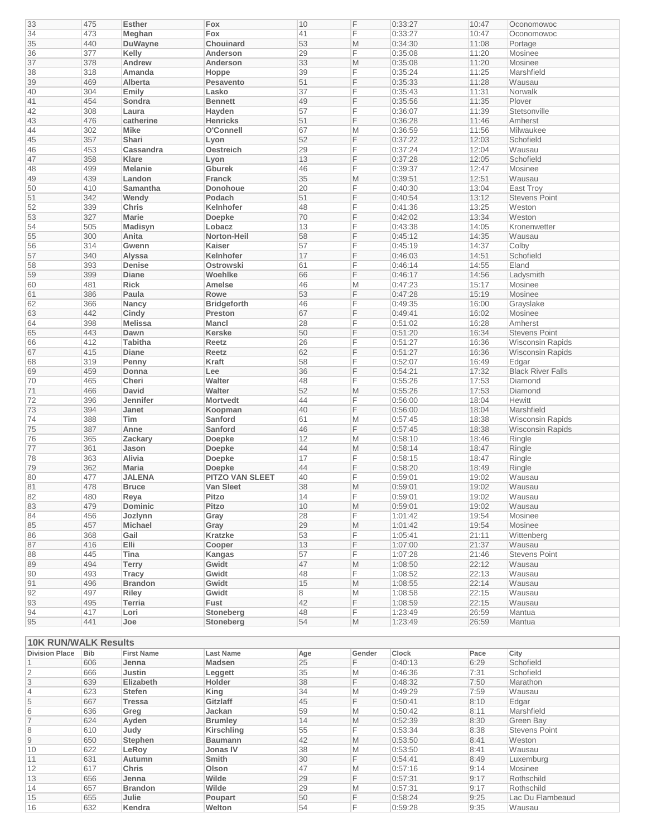| 33                          | 475        | <b>Esther</b>     | Fox                    | 10       | F      | 0:33:27            | 10:47        | Oconomowoc               |
|-----------------------------|------------|-------------------|------------------------|----------|--------|--------------------|--------------|--------------------------|
| 34                          | 473        | Meghan            | Fox                    | 41       | F      | 0:33:27            | 10:47        | Oconomowoc               |
| 35                          | 440        | <b>DuWayne</b>    | Chouinard              | 53       | M      | 0:34:30            | 11:08        | Portage                  |
| 36                          | 377        | Kelly             | Anderson               | 29       | F      | 0:35:08            | 11:20        | Mosinee                  |
| 37                          | 378        |                   | Anderson               | 33       |        | 0:35:08            | 11:20        | Mosinee                  |
|                             |            | Andrew            |                        |          | M      |                    |              |                          |
| 38                          | 318        | Amanda            | Hoppe                  | 39       | F      | 0:35:24            | 11:25        | Marshfield               |
| 39                          | 469        | Alberta           | Pesavento              | 51       | F      | 0:35:33            | 11:28        | Wausau                   |
| 40                          | 304        | Emily             | Lasko                  | 37       | F      | 0:35:43            | 11:31        | Norwalk                  |
| 41                          | 454        | Sondra            | <b>Bennett</b>         | 49       | F      | 0:35:56            | 11:35        | Plover                   |
| 42                          | 308        | Laura             | Hayden                 | 57       | F      | 0:36:07            | 11:39        | Stetsonville             |
| 43                          | 476        | catherine         | <b>Henricks</b>        | 51       | F      | 0:36:28            | 11:46        | Amherst                  |
|                             |            |                   |                        |          |        |                    |              |                          |
| 44                          | 302        | <b>Mike</b>       | O'Connell              | 67       | M      | 0:36:59            | 11:56        | Milwaukee                |
| 45                          | 357        | Shari             | Lyon                   | 52       | F      | 0:37:22            | 12:03        | Schofield                |
| 46                          | 453        | Cassandra         | <b>Oestreich</b>       | 29       | F      | 0:37:24            | 12:04        | Wausau                   |
| 47                          | 358        | <b>Klare</b>      | Lyon                   | 13       | F      | 0:37:28            | 12:05        | Schofield                |
| 48                          | 499        | <b>Melanie</b>    | <b>Gburek</b>          | 46       | F      | 0:39:37            | 12:47        | Mosinee                  |
| 49                          | 439        | Landon            | Franck                 | 35       | M      | 0:39:51            | 12:51        | Wausau                   |
|                             |            |                   |                        |          |        |                    |              |                          |
| 50                          | 410        | Samantha          | Donohoue               | 20       | F      | 0:40:30            | 13:04        | <b>East Troy</b>         |
| 51                          | 342        | Wendy             | Podach                 | 51       | F      | 0:40:54            | 13:12        | <b>Stevens Point</b>     |
| 52                          | 339        | <b>Chris</b>      | Kelnhofer              | 48       | F      | 0:41:36            | 13:25        | Weston                   |
| 53                          | 327        | <b>Marie</b>      | Doepke                 | 70       | F      | 0:42:02            | 13:34        | Weston                   |
| 54                          | 505        | Madisyn           | Lobacz                 | 13       | F      | 0:43:38            | 14:05        | Kronenwetter             |
| 55                          | 300        | Anita             | Norton-Heil            | 58       | F      | 0:45:12            | 14:35        | Wausau                   |
|                             |            |                   |                        |          |        |                    |              |                          |
| 56                          | 314        | Gwenn             | Kaiser                 | 57       | F      | 0:45:19            | 14:37        | Colby                    |
| 57                          | 340        | Alyssa            | Kelnhofer              | 17       | F      | 0:46:03            | 14:51        | Schofield                |
| 58                          | 393        | Denise            | <b>Ostrowski</b>       | 61       | F      | 0:46:14            | 14:55        | Eland                    |
| 59                          | 399        | <b>Diane</b>      | Woehlke                | 66       | F      | 0:46:17            | 14:56        | Ladysmith                |
| 60                          | 481        | <b>Rick</b>       | Amelse                 | 46       | M      | 0:47:23            | 15:17        | Mosinee                  |
| 61                          | 386        | Paula             | Rowe                   | 53       | F      | 0:47:28            | 15:19        | Mosinee                  |
|                             |            |                   |                        |          | F      |                    |              |                          |
| 62                          | 366        | Nancy             | <b>Bridgeforth</b>     | 46       |        | 0:49:35            | 16:00        | Grayslake                |
| 63                          | 442        | Cindy             | Preston                | 67       | F      | 0:49:41            | 16:02        | Mosinee                  |
| 64                          | 398        | <b>Melissa</b>    | Mancl                  | 28       | F      | 0:51:02            | 16:28        | Amherst                  |
| 65                          | 443        | Dawn              | <b>Kerske</b>          | 50       | F      | 0:51:20            | 16:34        | <b>Stevens Point</b>     |
| 66                          | 412        | <b>Tabitha</b>    | Reetz                  | 26       | F      | 0:51:27            | 16:36        | <b>Wisconsin Rapids</b>  |
| 67                          | 415        | <b>Diane</b>      | Reetz                  | 62       | F      | 0:51:27            | 16:36        | <b>Wisconsin Rapids</b>  |
|                             | 319        |                   | Kraft                  | 58       | F      | 0:52:07            |              |                          |
| 68                          |            | Penny             |                        |          |        |                    | 16:49        | Edgar                    |
| 69                          | 459        | Donna             | Lee                    | 36       | F      | 0:54:21            | 17:32        | <b>Black River Falls</b> |
| 70                          | 465        | Cheri             | Walter                 | 48       | F      | 0:55:26            | 17:53        | Diamond                  |
| 71                          | 466        | <b>David</b>      | Walter                 | 52       | M      | 0:55:26            | 17:53        | Diamond                  |
| 72                          | 396        | Jennifer          | <b>Mortvedt</b>        | 44       | F      | 0:56:00            | 18:04        | Hewitt                   |
| 73                          | 394        | Janet             | Koopman                | 40       | F      | 0:56:00            | 18:04        | Marshfield               |
| 74                          | 388        | <b>Tim</b>        |                        | 61       | M      | 0:57:45            | 18:38        | <b>Wisconsin Rapids</b>  |
|                             |            |                   | Sanford                |          |        |                    |              |                          |
| 75                          | 387        | Anne              | Sanford                | 46       | F      | 0:57:45            | 18:38        | <b>Wisconsin Rapids</b>  |
| 76                          | 365        | Zackary           | <b>Doepke</b>          | 12       | M      | 0:58:10            | 18:46        | Ringle                   |
| 77                          | 361        | Jason             | <b>Doepke</b>          | 44       | M      | 0:58:14            | 18:47        | Ringle                   |
| 78                          | 363        | Alivia            | Doepke                 | 17       | F      | 0:58:15            | 18:47        | Ringle                   |
| 79                          | 362        | <b>Maria</b>      | Doepke                 | 44       | F      | 0:58:20            | 18:49        | Ringle                   |
| 80                          | 477        | <b>JALENA</b>     | <b>PITZO VAN SLEET</b> | 40       | F      | 0:59:01            | 19:02        | Wausau                   |
|                             |            |                   |                        |          |        |                    |              |                          |
| 81                          | 478        | Bruce             | Van Sleet              | 38       | M      | 0:59:01            | 19:02        | Wausau                   |
| 82                          | 480        | Reya              | Pitzo                  | 14       | F      | 0:59:01            | 19:02        | Wausau                   |
| 83                          | 479        | <b>Dominic</b>    | Pitzo                  | 10       | M      | 0:59:01            | 19:02        | Wausau                   |
| 84                          | 456        | Jozlynn           | Gray                   | 28       | F      | 1:01:42            | 19:54        | Mosinee                  |
| 85                          | 457        | <b>Michael</b>    | Gray                   | 29       | M      | 1:01:42            | 19:54        | Mosinee                  |
| 86                          | 368        | Gail              | Kratzke                | 53       | F      | 1:05:41            | 21:11        | Wittenberg               |
|                             |            |                   |                        |          |        |                    |              |                          |
| 87                          | 416        | <b>Elli</b>       | Cooper                 | 13       | F      | 1:07:00            | 21:37        | Wausau                   |
| 88                          | 445        | Tina              | Kangas                 | 57       | F      | 1:07:28            | 21:46        | <b>Stevens Point</b>     |
| 89                          | 494        | <b>Terry</b>      | Gwidt                  | 47       | M      | 1:08:50            | 22:12        | Wausau                   |
| 90                          | 493        | <b>Tracy</b>      | Gwidt                  | 48       | F      | 1:08:52            | 22:13        | Wausau                   |
| 91                          | 496        | <b>Brandon</b>    | Gwidt                  | 15       | M      | 1:08:55            | 22:14        | Wausau                   |
| 92                          | 497        | Riley             | Gwidt                  | 8        | M      | 1:08:58            | 22:15        | Wausau                   |
| 93                          | 495        | <b>Terria</b>     | Fust                   | 42       | F      | 1:08:59            | 22:15        | Wausau                   |
|                             |            |                   |                        |          |        |                    |              |                          |
| 94                          | 417        | Lori              | Stoneberg              | 48       | F      | 1:23:49            | 26:59        | Mantua                   |
| 95                          | 441        | Joe               | Stoneberg              | 54       | M      | 1:23:49            | 26:59        | Mantua                   |
|                             |            |                   |                        |          |        |                    |              |                          |
| <b>10K RUN/WALK Results</b> |            |                   |                        |          |        |                    |              |                          |
| <b>Division Place</b>       | <b>Bib</b> | <b>First Name</b> | <b>Last Name</b>       | Age      | Gender | Clock              | Pace         | City                     |
|                             |            |                   |                        |          |        |                    |              |                          |
| $\mathbf{1}$                | 606        | Jenna             | Madsen                 | 25       | F      | 0:40:13            | 6:29         | Schofield                |
| $\overline{\mathbf{c}}$     | 666        | Justin            | Leggett                | 35       | M      | 0:46:36            | 7:31         | Schofield                |
| $\overline{3}$              | 639        | Elizabeth         | Holder                 | 38       | F      | 0:48:32            | 7:50         | Marathon                 |
| $\overline{4}$              | 623        | <b>Stefen</b>     | King                   | 34       | M      | 0:49:29            | 7:59         | Wausau                   |
| 5                           | 667        | <b>Tressa</b>     | Gitzlaff               | 45       | F      | 0:50:41            | 8:10         | Edgar                    |
| 6                           | 636        | Greg              | Jackan                 | 59       | M      | 0:50:42            | 8:11         | Marshfield               |
|                             |            |                   |                        |          |        |                    |              |                          |
| $\overline{7}$              | 624        | Ayden             | <b>Brumley</b>         | 14       | M      | 0:52:39            | 8:30         | Green Bay                |
|                             | 610        | Judy              | Kirschling             | 55       | F      | 0:53:34            | 8:38         | Stevens Point            |
| 8                           |            | <b>Stephen</b>    | <b>Baumann</b>         | 42       | M      | 0:53:50            | 8:41         | Weston                   |
| $\mathsf 9$                 | 650        |                   |                        | 38       | M      | 0:53:50            | 8:41         | Wausau                   |
| 10                          | 622        | LeRoy             | <b>Jonas IV</b>        |          |        |                    |              |                          |
|                             |            |                   |                        |          |        |                    |              |                          |
| 11                          | 631        | Autumn            | Smith                  | 30       | F      | 0:54:41            | 8:49         | Luxemburg                |
| 12                          | 617        | <b>Chris</b>      | Olson                  | 47       | M      | 0:57:16            | 9:14         | Mosinee                  |
| 13                          | 656        | Jenna             | Wilde                  | 29       | F      | 0:57:31            | 9:17         | Rothschild               |
| 14                          | 657        | <b>Brandon</b>    | Wilde                  | 29       | M      | 0:57:31            | 9:17         | Rothschild               |
| 15                          | 655        | Julie<br>Kendra   | Poupart                | 50<br>54 | F<br>F | 0:58:24<br>0:59:28 | 9:25<br>9:35 | Lac Du Flambeaud         |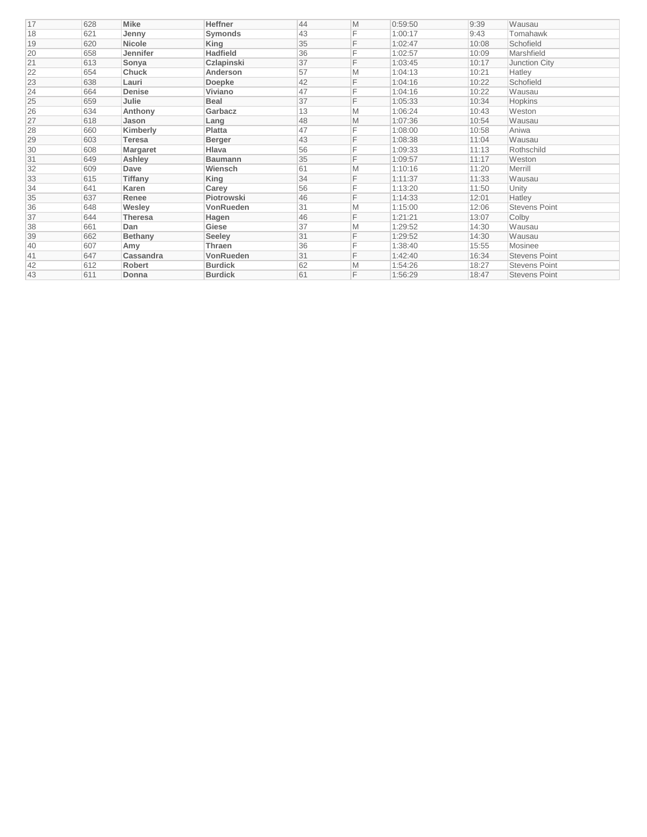| 17 | 628 | <b>Mike</b>    | <b>Heffner</b>  | 44 | M | 0:59:50 | 9:39  | Wausau               |
|----|-----|----------------|-----------------|----|---|---------|-------|----------------------|
| 18 | 621 | Jenny          | Symonds         | 43 | F | 1:00:17 | 9:43  | Tomahawk             |
| 19 | 620 | <b>Nicole</b>  | King            | 35 | F | 1:02:47 | 10:08 | Schofield            |
| 20 | 658 | Jennifer       | <b>Hadfield</b> | 36 | F | 1:02:57 | 10:09 | Marshfield           |
| 21 | 613 | Sonya          | Czlapinski      | 37 | F | 1:03:45 | 10:17 | Junction City        |
| 22 | 654 | Chuck          | Anderson        | 57 | M | 1:04:13 | 10:21 | Hatley               |
| 23 | 638 | Lauri          | <b>Doepke</b>   | 42 | F | 1:04:16 | 10:22 | Schofield            |
| 24 | 664 | Denise         | Viviano         | 47 |   | 1:04:16 | 10:22 | Wausau               |
| 25 | 659 | Julie          | <b>Beal</b>     | 37 | F | 1:05:33 | 10:34 | Hopkins              |
| 26 | 634 | Anthony        | Garbacz         | 13 | M | 1:06:24 | 10:43 | Weston               |
| 27 | 618 | Jason          | Lang            | 48 | M | 1:07:36 | 10:54 | Wausau               |
| 28 | 660 | Kimberly       | Platta          | 47 | F | 1:08:00 | 10:58 | Aniwa                |
| 29 | 603 | <b>Teresa</b>  | <b>Berger</b>   | 43 | F | 1:08:38 | 11:04 | Wausau               |
| 30 | 608 | Margaret       | Hlava           | 56 | F | 1:09:33 | 11:13 | Rothschild           |
| 31 | 649 | Ashley         | <b>Baumann</b>  | 35 | F | 1:09:57 | 11:17 | Weston               |
| 32 | 609 | Dave           | Wiensch         | 61 | M | 1:10:16 | 11:20 | Merrill              |
| 33 | 615 | Tiffany        | King            | 34 | F | 1:11:37 | 11:33 | Wausau               |
| 34 | 641 | Karen          | Carey           | 56 | F | 1:13:20 | 11:50 | Unity                |
| 35 | 637 | Renee          | Piotrowski      | 46 | F | 1:14:33 | 12:01 | Hatley               |
| 36 | 648 | Wesley         | VonRueden       | 31 | M | 1:15:00 | 12:06 | <b>Stevens Point</b> |
| 37 | 644 | <b>Theresa</b> | Hagen           | 46 | F | 1:21:21 | 13:07 | Colby                |
| 38 | 661 | Dan            | Giese           | 37 | M | 1:29:52 | 14:30 | Wausau               |
| 39 | 662 | <b>Bethany</b> | <b>Seeley</b>   | 31 | F | 1:29:52 | 14:30 | Wausau               |
| 40 | 607 | Amy            | Thraen          | 36 |   | 1:38:40 | 15:55 | Mosinee              |
| 41 | 647 | Cassandra      | VonRueden       | 31 | F | 1:42:40 | 16:34 | <b>Stevens Point</b> |
| 42 | 612 | <b>Robert</b>  | <b>Burdick</b>  | 62 | M | 1:54:26 | 18:27 | <b>Stevens Point</b> |
| 43 | 611 | Donna          | <b>Burdick</b>  | 61 | F | 1:56:29 | 18:47 | <b>Stevens Point</b> |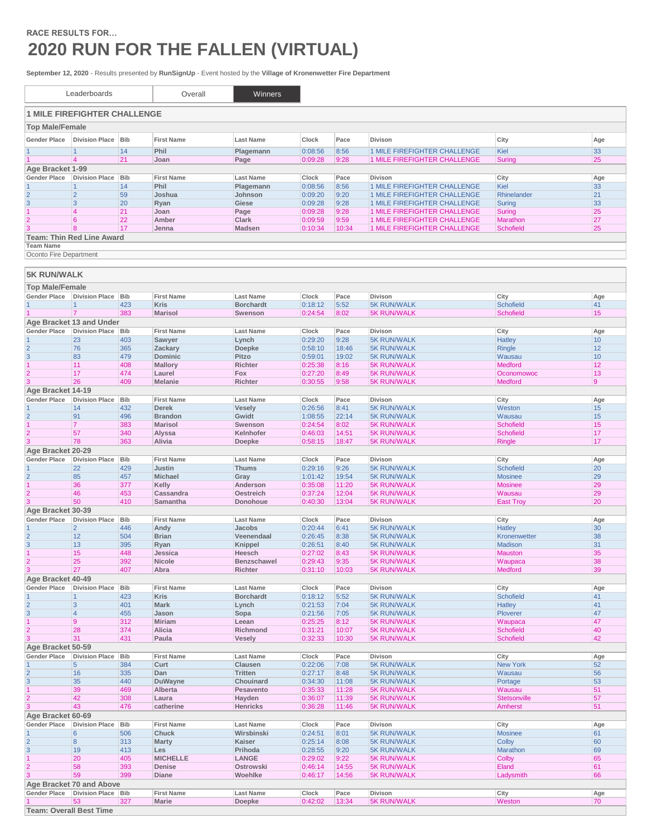## **RACE RESULTS FOR… 2020 RUN FOR THE FALLEN (VIRTUAL)**

**September 12, 2020** - Results presented by **RunSignUp** - Event hosted by the **Village of Kronenwetter Fire Department**

|                                               | Leaderboards                          |                   | Overall                          | Winners                              |                    |                |                                                              |                                    |           |
|-----------------------------------------------|---------------------------------------|-------------------|----------------------------------|--------------------------------------|--------------------|----------------|--------------------------------------------------------------|------------------------------------|-----------|
|                                               | <b>1 MILE FIREFIGHTER CHALLENGE</b>   |                   |                                  |                                      |                    |                |                                                              |                                    |           |
| <b>Top Male/Female</b>                        |                                       |                   |                                  |                                      |                    |                |                                                              |                                    |           |
| <b>Gender Place</b>                           | <b>Division Place</b>                 | <b>Bib</b>        | <b>First Name</b>                | <b>Last Name</b>                     | Clock              | Pace           | <b>Divison</b>                                               | City                               | Age       |
|                                               | $\mathbf{1}$                          | 14                | Phil                             | Plagemann                            | 0:08:56            | 8:56           | 1 MILE FIREFIGHTER CHALLENGE                                 | Kiel                               | 33        |
|                                               | $\vert 4$                             | 21                | Joan                             | Page                                 | 0:09:28            | 9:28           | 1 MILE FIREFIGHTER CHALLENGE                                 | Suring                             | 25        |
| Age Bracket 1-99                              |                                       |                   |                                  |                                      |                    |                |                                                              |                                    |           |
| <b>Gender Place</b>                           | <b>Division Place</b>                 | <b>Bib</b>        | <b>First Name</b>                | <b>Last Name</b>                     | Clock              | Pace           | Divison                                                      | City                               | Age       |
| $\mathbf{1}$<br>$\overline{2}$                | 1<br>$\overline{2}$                   | 14<br>59          | Phil<br>Joshua                   | Plagemann<br>Johnson                 | 0:08:56<br>0:09:20 | 8:56<br>9:20   | 1 MILE FIREFIGHTER CHALLENGE<br>1 MILE FIREFIGHTER CHALLENGE | Kiel<br>Rhinelander                | 33<br>21  |
| 3                                             | 3                                     | 20                | Ryan                             | Giese                                | 0:09:28            | 9:28           | 1 MILE FIREFIGHTER CHALLENGE                                 | Suring                             | 33        |
| $\mathbf{1}$                                  | $\overline{4}$                        | 21                | Joan                             | Page                                 | 0:09:28            | 9:28           | 1 MILE FIREFIGHTER CHALLENGE                                 | Suring                             | 25        |
| $\overline{2}$                                | 6                                     | 22                | Amber                            | Clark                                | 0:09:59            | 9:59           | 1 MILE FIREFIGHTER CHALLENGE                                 | Marathon                           | 27        |
| 3                                             | 8                                     | 17                | Jenna                            | <b>Madsen</b>                        | 0:10:34            | 10:34          | 1 MILE FIREFIGHTER CHALLENGE                                 | <b>Schofield</b>                   | 25        |
| <b>Team Name</b>                              | <b>Team: Thin Red Line Award</b>      |                   |                                  |                                      |                    |                |                                                              |                                    |           |
| Oconto Fire Department                        |                                       |                   |                                  |                                      |                    |                |                                                              |                                    |           |
|                                               |                                       |                   |                                  |                                      |                    |                |                                                              |                                    |           |
| <b>5K RUN/WALK</b>                            |                                       |                   |                                  |                                      |                    |                |                                                              |                                    |           |
|                                               |                                       |                   |                                  |                                      |                    |                |                                                              |                                    |           |
| <b>Top Male/Female</b><br><b>Gender Place</b> | <b>Division Place</b>                 | Bib               | <b>First Name</b>                | <b>Last Name</b>                     | Clock              | Pace           | <b>Divison</b>                                               | City                               | Age       |
| $\mathbf{1}$                                  | 1                                     | 423               | <b>Kris</b>                      | <b>Borchardt</b>                     | 0:18:12            | 5:52           | <b>5K RUN/WALK</b>                                           | <b>Schofield</b>                   | 41        |
|                                               | $\overline{7}$                        | 383               | <b>Marisol</b>                   | Swenson                              | 0:24:54            | 8:02           | <b>5K RUN/WALK</b>                                           | <b>Schofield</b>                   | 15        |
|                                               | Age Bracket 13 and Under              |                   |                                  |                                      |                    |                |                                                              |                                    |           |
| <b>Gender Place</b>                           | <b>Division Place</b>                 | Bib               | <b>First Name</b>                | <b>Last Name</b>                     | Clock              | Pace           | Divison                                                      | City                               | Age       |
| $\mathbf{1}$                                  | 23                                    | 403               | Sawyer                           | Lynch                                | 0:29:20            | 9:28           | <b>5K RUN/WALK</b>                                           | <b>Hatley</b>                      | 10        |
| $\overline{2}$<br>3                           | 76<br>83                              | 365<br>479        | Zackary<br><b>Dominic</b>        | Doepke<br>Pitzo                      | 0:58:10<br>0:59:01 | 18:46<br>19:02 | <b>5K RUN/WALK</b><br><b>5K RUN/WALK</b>                     | Ringle<br>Wausau                   | 12<br>10  |
| $\mathbf{1}$                                  | 11                                    | 408               | <b>Mallory</b>                   | <b>Richter</b>                       | 0:25:38            | 8:16           | <b>5K RUN/WALK</b>                                           | Medford                            | 12        |
| $\overline{2}$                                | 17                                    | 474               | Laurel                           | Fox                                  | 0:27:20            | 8:49           | <b>5K RUN/WALK</b>                                           | Oconomowoc                         | 13        |
| 3                                             | 26                                    | 409               | <b>Melanie</b>                   | Richter                              | 0:30:55            | 9:58           | <b>5K RUN/WALK</b>                                           | Medford                            | 9         |
| Age Bracket 14-19                             |                                       |                   |                                  |                                      |                    |                |                                                              |                                    |           |
| <b>Gender Place</b>                           | <b>Division Place</b>                 | <b>Bib</b>        | <b>First Name</b>                | <b>Last Name</b>                     | Clock              | Pace           | Divison                                                      | City                               | Age       |
| $\overline{2}$                                | 14<br>91                              | 432<br>496        | <b>Derek</b><br><b>Brandon</b>   | Vesely<br>Gwidt                      | 0:26:56<br>1:08:55 | 8:41<br>22:14  | <b>5K RUN/WALK</b><br><b>5K RUN/WALK</b>                     | Weston<br>Wausau                   | 15<br>15  |
| $\mathbf{1}$                                  | $\overline{7}$                        | 383               | <b>Marisol</b>                   | Swenson                              | 0:24:54            | 8:02           | <b>5K RUN/WALK</b>                                           | <b>Schofield</b>                   | 15        |
| $\overline{2}$                                | 57                                    | 340               | Alyssa                           | Kelnhofer                            | 0:46:03            | 14:51          | <b>5K RUN/WALK</b>                                           | <b>Schofield</b>                   | 17        |
| 3                                             | 78                                    | 363               | Alivia                           | Doepke                               | 0:58:15            | 18:47          | <b>5K RUN/WALK</b>                                           | Ringle                             | 17        |
| Age Bracket 20-29                             |                                       |                   |                                  |                                      |                    |                |                                                              |                                    |           |
| <b>Gender Place</b>                           | <b>Division Place</b>                 | <b>Bib</b>        | <b>First Name</b>                | <b>Last Name</b>                     | Clock              | Pace           | Divison                                                      | City                               | Age       |
| $\overline{2}$                                | 22<br>85                              | 429<br>457        | Justin<br><b>Michael</b>         | <b>Thums</b><br>Gray                 | 0:29:16<br>1:01:42 | 9:26<br>19:54  | <b>5K RUN/WALK</b><br><b>5K RUN/WALK</b>                     | <b>Schofield</b><br><b>Mosinee</b> | 20<br>29  |
| $\mathbf{1}$                                  | 36                                    | 377               | Kelly                            | Anderson                             | 0:35:08            | 11:20          | <b>5K RUN/WALK</b>                                           | <b>Mosinee</b>                     | 29        |
| $\overline{2}$                                | 46                                    | 453               | Cassandra                        | Oestreich                            | 0:37:24            | 12:04          | <b>5K RUN/WALK</b>                                           | Wausau                             | 29        |
| 3                                             | 50                                    | 410               | Samantha                         | Donohoue                             | 0:40:30            | 13:04          | <b>5K RUN/WALK</b>                                           | East Troy                          | 20        |
| Age Bracket 30-39                             |                                       |                   |                                  |                                      |                    |                |                                                              |                                    |           |
| <b>Gender Place</b>                           | <b>Division Place</b>                 | <b>Bib</b>        | <b>First Name</b>                | <b>Last Name</b><br>Jacobs           | Clock              | Pace           | Divison                                                      | City                               | Age       |
| $\overline{2}$                                | $\overline{2}$<br>12                  | 446<br>504        | Andy<br><b>Brian</b>             | Veenendaal                           | 0:20:44<br>0:26:45 | 6:41<br>8:38   | <b>5K RUN/WALK</b><br><b>5K RUN/WALK</b>                     | <b>Hatley</b><br>Kronenwetter      | 30<br>38  |
| 3                                             | 13                                    | 395               | Ryan                             | <b>Knippel</b>                       | 0:26:51            | 8:40           | <b>5K RUN/WALK</b>                                           | Madison                            | 31        |
| 1                                             | 15                                    | 448               | Jessica                          | Heesch                               | 0:27:02            | 8:43           | <b>5K RUN/WALK</b>                                           | <b>Mauston</b>                     | 35        |
| 2                                             | 25                                    | 392               | Nicole                           | <b>Benzschawel</b>                   | 0:29:43            | 9:35           | 5K RUN/WALK                                                  | Waupaca                            | 38        |
| $\overline{3}$                                | 27                                    | 407               | Abra                             | Richter                              | 0:31:10            | 10:03          | <b>5K RUN/WALK</b>                                           | Medford                            | 39        |
| Age Bracket 40-49                             |                                       |                   |                                  |                                      |                    |                |                                                              |                                    |           |
| <b>Gender Place</b><br>$\mathbf{1}$           | <b>Division Place</b><br>$\mathbf{1}$ | <b>Bib</b><br>423 | <b>First Name</b><br><b>Kris</b> | <b>Last Name</b><br><b>Borchardt</b> | Clock<br>0:18:12   | Pace<br>5:52   | Divison<br><b>5K RUN/WALK</b>                                | City<br><b>Schofield</b>           | Age<br>41 |
| $\overline{2}$                                | 3                                     | 401               | Mark                             | Lynch                                | 0:21:53            | 7:04           | <b>5K RUN/WALK</b>                                           | <b>Hatley</b>                      | 41        |
| $\overline{3}$                                | $\overline{4}$                        | 455               | Jason                            | Sopa                                 | 0:21:56            | 7:05           | <b>5K RUN/WALK</b>                                           | Ploverer                           | 47        |
| $\overline{1}$                                | $\overline{9}$                        | 312               | <b>Miriam</b>                    | Leean                                | 0:25:25            | 8:12           | 5K RUN/WALK                                                  | Waupaca                            | 47        |
| $\overline{2}$<br>3                           | 28                                    | 374               | Alicia                           | Richmond                             | 0:31:21            | 10:07          | <b>5K RUN/WALK</b>                                           | <b>Schofield</b>                   | 40        |
| Age Bracket 50-59                             | 31                                    | 431               | Paula                            | Vesely                               | 0:32:33            | 10:30          | <b>5K RUN/WALK</b>                                           | <b>Schofield</b>                   | 42        |
| <b>Gender Place</b>                           | <b>Division Place</b>                 | <b>Bib</b>        | <b>First Name</b>                | <b>Last Name</b>                     | Clock              | Pace           | Divison                                                      | City                               | Age       |
|                                               | 5                                     | 384               | Curt                             | Clausen                              | 0:22:06            | 7:08           | <b>5K RUN/WALK</b>                                           | <b>New York</b>                    | 52        |
| $\overline{\mathbf{c}}$                       | 16                                    | 335               | Dan                              | Tritten                              | 0:27:17            | 8:48           | <b>5K RUN/WALK</b>                                           | Wausau                             | 56        |
| $\overline{3}$                                | 35                                    | 440               | DuWayne                          | Chouinard                            | 0:34:30            | 11:08          | 5K RUN/WALK                                                  | Portage                            | 53        |
| 1                                             | 39                                    | 469               | Alberta                          | Pesavento                            | 0:35:33            | 11:28          | <b>5K RUN/WALK</b>                                           | Wausau                             | 51        |
| $\overline{2}$<br>$\overline{3}$              | 42<br>43                              | 308<br>476        | Laura<br>catherine               | Hayden<br>Henricks                   | 0:36:07<br>0:36:28 | 11:39<br>11:46 | <b>5K RUN/WALK</b><br><b>5K RUN/WALK</b>                     | Stetsonville<br><b>Amherst</b>     | 57<br>51  |
| Age Bracket 60-69                             |                                       |                   |                                  |                                      |                    |                |                                                              |                                    |           |
| <b>Gender Place</b>                           | <b>Division Place</b>                 | <b>Bib</b>        | <b>First Name</b>                | <b>Last Name</b>                     | Clock              | Pace           | Divison                                                      | City                               | Age       |
| $\overline{1}$                                | 6                                     | 506               | Chuck                            | Wirsbinski                           | 0:24:51            | 8:01           | <b>5K RUN/WALK</b>                                           | Mosinee                            | 61        |
| $\overline{2}$                                | 8                                     | 313               | Marty                            | Kaiser                               | 0:25:14            | 8:08           | <b>5K RUN/WALK</b>                                           | Colby                              | 60        |
| $\overline{3}$                                | 19                                    | 413               | Les                              | Prihoda                              | 0:28:55            | 9:20           | 5K RUN/WALK                                                  | Marathon                           | 69        |
| $\overline{1}$<br>$\overline{2}$              | 20<br>58                              | 405<br>393        | <b>MICHELLE</b><br>Denise        | LANGE<br>Ostrowski                   | 0:29:02<br>0:46:14 | 9:22<br>14:55  | <b>5K RUN/WALK</b><br><b>5K RUN/WALK</b>                     | Colby<br>Eland                     | 65<br>61  |
|                                               | 59                                    | 399               | Diane                            | Woehlke                              | 0:46:17            | 14:56          | <b>5K RUN/WALK</b>                                           | Ladysmith                          | 66        |
|                                               | Age Bracket 70 and Above              |                   |                                  |                                      |                    |                |                                                              |                                    |           |
| <b>Gender Place</b>                           | Division Place Bib                    |                   | <b>First Name</b>                | <b>Last Name</b>                     | Clock              | Pace           | Divison                                                      | City                               | Age       |
|                                               | 53                                    | 327               | Marie                            | Doepke                               | 0:42:02            | 13:34          | <b>5K RUN/WALK</b>                                           | Weston                             | 70        |
| <b>Team: Overall Best Time</b>                |                                       |                   |                                  |                                      |                    |                |                                                              |                                    |           |